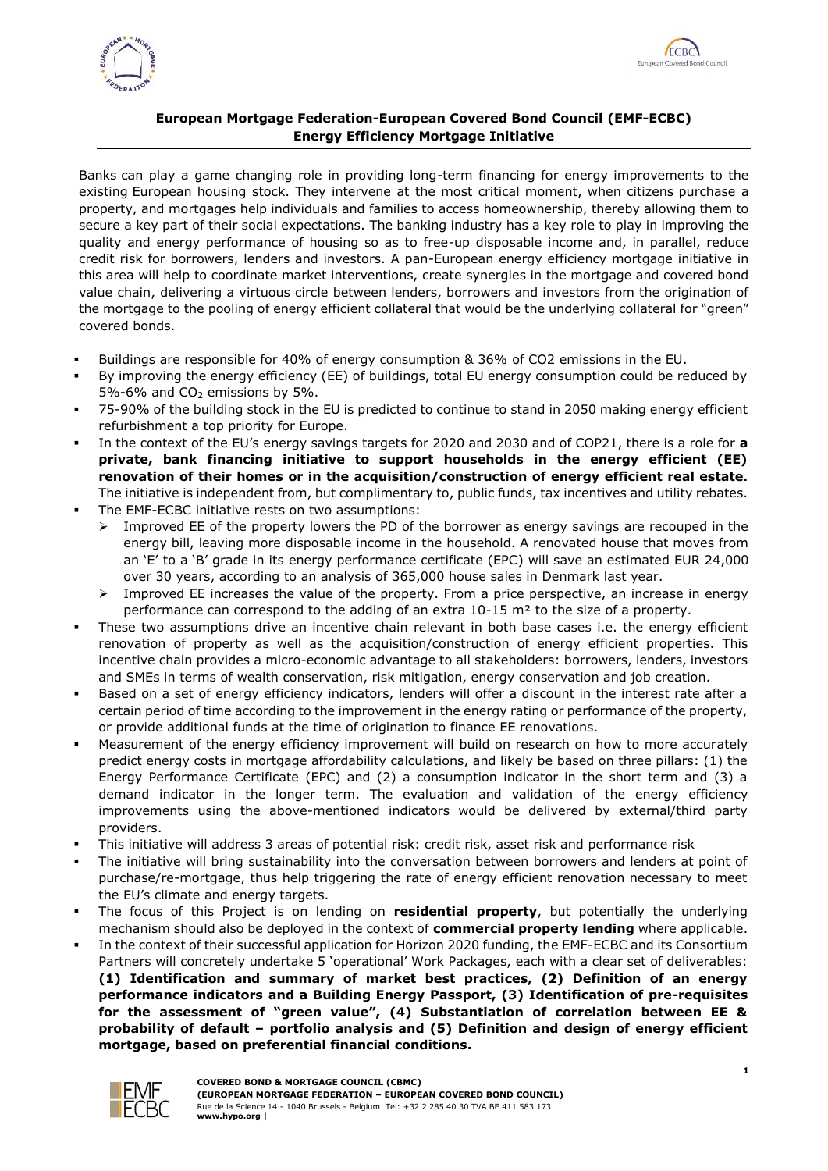



## **European Mortgage Federation-European Covered Bond Council (EMF-ECBC) Energy Efficiency Mortgage Initiative**

Banks can play a game changing role in providing long-term financing for energy improvements to the existing European housing stock. They intervene at the most critical moment, when citizens purchase a property, and mortgages help individuals and families to access homeownership, thereby allowing them to secure a key part of their social expectations. The banking industry has a key role to play in improving the quality and energy performance of housing so as to free-up disposable income and, in parallel, reduce credit risk for borrowers, lenders and investors. A pan-European energy efficiency mortgage initiative in this area will help to coordinate market interventions, create synergies in the mortgage and covered bond value chain, delivering a virtuous circle between lenders, borrowers and investors from the origination of the mortgage to the pooling of energy efficient collateral that would be the underlying collateral for "green" covered bonds.

- Buildings are responsible for 40% of energy consumption & 36% of CO2 emissions in the EU.
- By improving the energy efficiency (EE) of buildings, total EU energy consumption could be reduced by 5%-6% and  $CO<sub>2</sub>$  emissions by 5%.
- 75-90% of the building stock in the EU is predicted to continue to stand in 2050 making energy efficient refurbishment a top priority for Europe.
- In the context of the EU's energy savings targets for 2020 and 2030 and of COP21, there is a role for **a private, bank financing initiative to support households in the energy efficient (EE) renovation of their homes or in the acquisition/construction of energy efficient real estate.** The initiative is independent from, but complimentary to, public funds, tax incentives and utility rebates.
- The EMF-ECBC initiative rests on two assumptions:
	- Improved EE of the property lowers the PD of the borrower as energy savings are recouped in the energy bill, leaving more disposable income in the household. A renovated house that moves from an 'E' to a 'B' grade in its energy performance certificate (EPC) will save an estimated EUR 24,000 over 30 years, according to an [analysis of 365,000 house sales in Denmark](https://www.copenhageneconomics.com/publications/publication/do-homes-with-better-energy-efficiency-ratings-have-higher-house-prices-econometric-approach) last year.
	- $\triangleright$  Improved EE increases the value of the property. From a price perspective, an increase in energy performance can correspond to the adding of an extra 10-15 m² to the size of a property.
- These two assumptions drive an incentive chain relevant in both base cases i.e. the energy efficient renovation of property as well as the acquisition/construction of energy efficient properties. This incentive chain provides a micro-economic advantage to all stakeholders: borrowers, lenders, investors and SMEs in terms of wealth conservation, risk mitigation, energy conservation and job creation.
- Based on a set of energy efficiency indicators, lenders will offer a discount in the interest rate after a certain period of time according to the improvement in the energy rating or performance of the property, or provide additional funds at the time of origination to finance EE renovations.
- Measurement of the energy efficiency improvement will build on research on how to more accurately predict energy costs in mortgage affordability calculations, and likely be based on three pillars: (1) the Energy Performance Certificate (EPC) and (2) a consumption indicator in the short term and (3) a demand indicator in the longer term. The evaluation and validation of the energy efficiency improvements using the above-mentioned indicators would be delivered by external/third party providers.
- This initiative will address 3 areas of potential risk: credit risk, asset risk and performance risk
- The initiative will bring sustainability into the conversation between borrowers and lenders at point of purchase/re-mortgage, thus help triggering the rate of energy efficient renovation necessary to meet the EU's climate and energy targets.
- The focus of this Project is on lending on **residential property**, but potentially the underlying mechanism should also be deployed in the context of **commercial property lending** where applicable.
- In the context of their successful application for Horizon 2020 funding, the EMF-ECBC and its Consortium Partners will concretely undertake 5 'operational' Work Packages, each with a clear set of deliverables: **(1) Identification and summary of market best practices, (2) Definition of an energy performance indicators and a Building Energy Passport, (3) Identification of pre-requisites for the assessment of "green value", (4) Substantiation of correlation between EE & probability of default – portfolio analysis and (5) Definition and design of energy efficient mortgage, based on preferential financial conditions.**